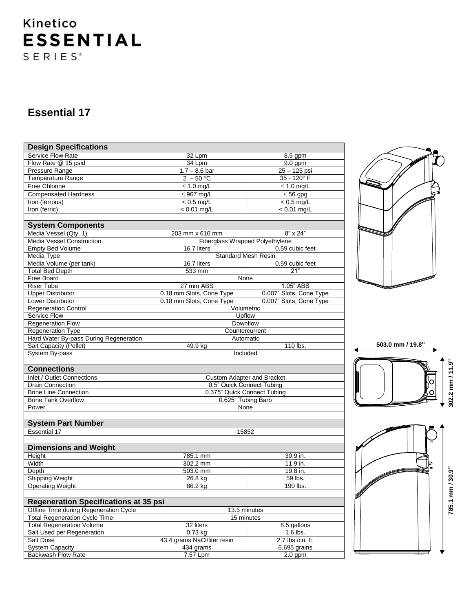# Kinetico **ESSENTIAL**  $S E R I E S$ <sup>®</sup>

### **Essential 17**

| <b>Design Specifications</b>                 |                                   |                         |  |  |  |  |  |  |  |
|----------------------------------------------|-----------------------------------|-------------------------|--|--|--|--|--|--|--|
| Service Flow Rate                            | 32 Lpm                            | 8.5 gpm                 |  |  |  |  |  |  |  |
| Flow Rate @ 15 psid                          | 34 Lpm                            | $9.0$ gpm               |  |  |  |  |  |  |  |
| Pressure Range                               | $1.7 - 8.6$ bar                   | 25 - 125 psi            |  |  |  |  |  |  |  |
| <b>Temperature Range</b>                     | $2 - 50$ °C                       | 35 - 120° F             |  |  |  |  |  |  |  |
| Free Chlorine                                | $\leq 1.0$ mg/L                   | $\leq 1.0$ mg/L         |  |  |  |  |  |  |  |
| <b>Compensated Hardness</b>                  | $\leq$ 967 mg/L                   | $\leq 56$ gpg           |  |  |  |  |  |  |  |
| Iron (ferrous)                               | $< 0.5$ mg/L                      | $< 0.5$ mg/L            |  |  |  |  |  |  |  |
| Iron (ferric)                                | $< 0.01$ mg/L                     | $< 0.01$ mg/L           |  |  |  |  |  |  |  |
|                                              |                                   |                         |  |  |  |  |  |  |  |
| <b>System Components</b>                     |                                   |                         |  |  |  |  |  |  |  |
| Media Vessel (Qty. 1)                        | 203 mm x 610 mm                   | $8" \times 24"$         |  |  |  |  |  |  |  |
| <b>Media Vessel Construction</b>             | Fiberglass Wrapped Polyethylene   |                         |  |  |  |  |  |  |  |
| <b>Empty Bed Volume</b>                      | 16.7 liters                       | 0.59 cubic feet         |  |  |  |  |  |  |  |
| Media Type                                   | <b>Standard Mesh Resin</b>        |                         |  |  |  |  |  |  |  |
| Media Volume (per tank)                      | 16.7 liters                       | 0.59 cubic feet         |  |  |  |  |  |  |  |
| <b>Total Bed Depth</b>                       | $\overline{533}$ mm               | 21"                     |  |  |  |  |  |  |  |
| Free Board                                   | None                              |                         |  |  |  |  |  |  |  |
| <b>Riser Tube</b>                            | 27 mm ABS                         | 1.05" ABS               |  |  |  |  |  |  |  |
| <b>Upper Distributor</b>                     | 0.18 mm Slots, Cone Type          | 0.007" Slots, Cone Type |  |  |  |  |  |  |  |
| <b>Lower Distributor</b>                     | 0.18 mm Slots, Cone Type          | 0.007" Slots, Cone Type |  |  |  |  |  |  |  |
| <b>Regeneration Control</b>                  | Volumetric                        |                         |  |  |  |  |  |  |  |
| Upflow<br>Service Flow                       |                                   |                         |  |  |  |  |  |  |  |
| <b>Regeneration Flow</b>                     | Downflow                          |                         |  |  |  |  |  |  |  |
| <b>Regeneration Type</b>                     | Countercurrent                    |                         |  |  |  |  |  |  |  |
| Hard Water By-pass During Regeneration       | Automatic                         |                         |  |  |  |  |  |  |  |
| Salt Capacity (Pellet)                       | 49.9 kg                           | 110 lbs.                |  |  |  |  |  |  |  |
| System By-pass                               | Included                          |                         |  |  |  |  |  |  |  |
|                                              |                                   |                         |  |  |  |  |  |  |  |
| <b>Connections</b>                           |                                   |                         |  |  |  |  |  |  |  |
| Inlet / Outlet Connections                   | <b>Custom Adapter and Bracket</b> |                         |  |  |  |  |  |  |  |
| <b>Drain Connection</b>                      | 0.5" Quick Connect Tubing         |                         |  |  |  |  |  |  |  |
| <b>Brine Line Connection</b>                 | 0.375" Quick Connect Tubing       |                         |  |  |  |  |  |  |  |
| <b>Brine Tank Overflow</b>                   | 0.625" Tubing Barb                |                         |  |  |  |  |  |  |  |
| Power                                        | None                              |                         |  |  |  |  |  |  |  |
|                                              |                                   |                         |  |  |  |  |  |  |  |
| <b>System Part Number</b>                    |                                   |                         |  |  |  |  |  |  |  |
| <b>Essential 17</b>                          | 15852                             |                         |  |  |  |  |  |  |  |
|                                              |                                   |                         |  |  |  |  |  |  |  |
| <b>Dimensions and Weight</b>                 |                                   |                         |  |  |  |  |  |  |  |
| Height                                       | 785.1 mm                          | 30.9 in.                |  |  |  |  |  |  |  |
| Width                                        | 302.2 mm                          | 11.9 in.                |  |  |  |  |  |  |  |
| Depth                                        | 503.0 mm                          | 19.8 in.                |  |  |  |  |  |  |  |
| <b>Shipping Weight</b>                       | 26.8 kg                           | 59 lbs.                 |  |  |  |  |  |  |  |
| <b>Operating Weight</b>                      | 86.2 kg                           | 190 lbs.                |  |  |  |  |  |  |  |
|                                              |                                   |                         |  |  |  |  |  |  |  |
| <b>Regeneration Specifications at 35 psi</b> |                                   |                         |  |  |  |  |  |  |  |
| Offline Time during Regeneration Cycle       | 13.5 minutes                      |                         |  |  |  |  |  |  |  |
| <b>Total Regeneration Cycle Time</b>         | 15 minutes                        |                         |  |  |  |  |  |  |  |
| <b>Total Regeneration Volume</b>             | 32 liters                         | 8.5 gallons             |  |  |  |  |  |  |  |
| Salt Used per Regeneration                   | 0.73 kg                           | 1.6 lbs.                |  |  |  |  |  |  |  |
| Salt Dose                                    | 43.4 grams NaCl/liter resin       | 2.7 lbs./cu. ft.        |  |  |  |  |  |  |  |
| <b>System Capacity</b>                       | 434 grams                         | 6,695 grains            |  |  |  |  |  |  |  |

Backwash Flow Rate 7.57 Lpm 2.0 gpm







**785.1 mm / 30.9"**